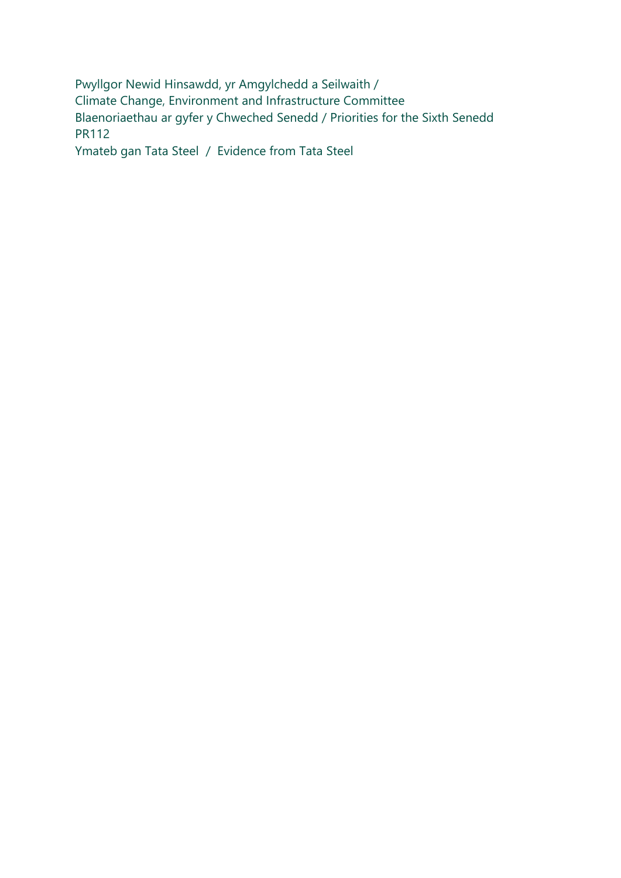Pwyllgor Newid Hinsawdd, yr Amgylchedd a Seilwaith / Climate Change, Environment and Infrastructure Committee Blaenoriaethau ar gyfer y Chweched Senedd / Priorities for the Sixth Senedd PR112

Ymateb gan Tata Steel / Evidence from Tata Steel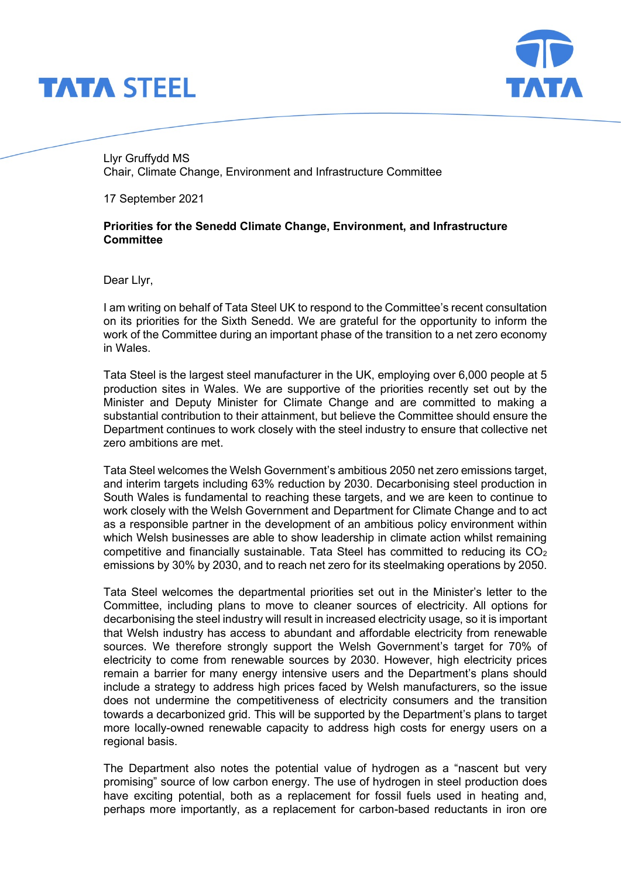



Llyr Gruffydd MS Chair, Climate Change, Environment and Infrastructure Committee

17 September 2021

## **Priorities for the Senedd Climate Change, Environment, and Infrastructure Committee**

Dear Llyr,

I am writing on behalf of Tata Steel UK to respond to the Committee's recent consultation on its priorities for the Sixth Senedd. We are grateful for the opportunity to inform the work of the Committee during an important phase of the transition to a net zero economy in Wales.

Tata Steel is the largest steel manufacturer in the UK, employing over 6,000 people at 5 production sites in Wales. We are supportive of the priorities recently set out by the Minister and Deputy Minister for Climate Change and are committed to making a substantial contribution to their attainment, but believe the Committee should ensure the Department continues to work closely with the steel industry to ensure that collective net zero ambitions are met.

Tata Steel welcomes the Welsh Government's ambitious 2050 net zero emissions target, and interim targets including 63% reduction by 2030. Decarbonising steel production in South Wales is fundamental to reaching these targets, and we are keen to continue to work closely with the Welsh Government and Department for Climate Change and to act as a responsible partner in the development of an ambitious policy environment within which Welsh businesses are able to show leadership in climate action whilst remaining competitive and financially sustainable. Tata Steel has committed to reducing its  $CO<sub>2</sub>$ emissions by 30% by 2030, and to reach net zero for its steelmaking operations by 2050.

Tata Steel welcomes the departmental priorities set out in the Minister's letter to the Committee, including plans to move to cleaner sources of electricity. All options for decarbonising the steel industry will result in increased electricity usage, so it is important that Welsh industry has access to abundant and affordable electricity from renewable sources. We therefore strongly support the Welsh Government's target for 70% of electricity to come from renewable sources by 2030. However, high electricity prices remain a barrier for many energy intensive users and the Department's plans should include a strategy to address high prices faced by Welsh manufacturers, so the issue does not undermine the competitiveness of electricity consumers and the transition towards a decarbonized grid. This will be supported by the Department's plans to target more locally-owned renewable capacity to address high costs for energy users on a regional basis.

The Department also notes the potential value of hydrogen as a "nascent but very promising" source of low carbon energy. The use of hydrogen in steel production does have exciting potential, both as a replacement for fossil fuels used in heating and, perhaps more importantly, as a replacement for carbon-based reductants in iron ore